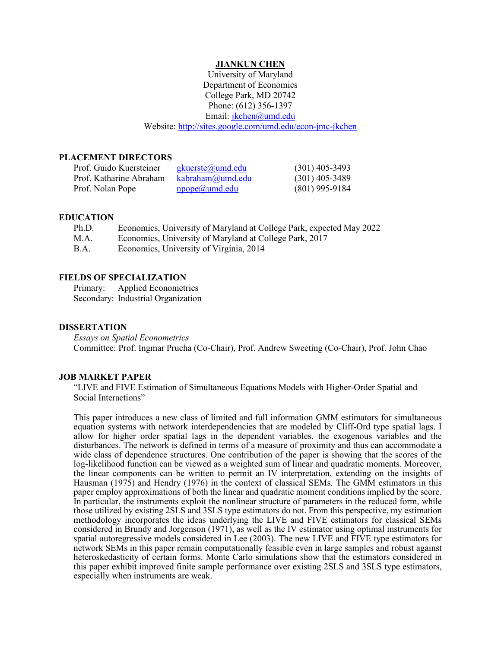#### **JIANKUN CHEN**

University of Maryland Department of Economics College Park, MD 20742 Phone: (612) 356-1397 Email: [jkchen@umd.edu](mailto:jkchen@umd.edu) Website[: http://sites.google.com/umd.edu/econ-jmc-jkchen](http://sites.google.com/umd.edu/econ-jmc-jkchen)

# **PLACEMENT DIRECTORS**

| Prof. Guido Kuersteiner | gkuerste@umd.edu | $(301)$ 405-3493 |
|-------------------------|------------------|------------------|
| Prof. Katharine Abraham | kabraham@umd.edu | $(301)$ 405-3489 |
| Prof. Nolan Pope        | npope@umd.edu    | $(801)$ 995-9184 |

#### **EDUCATION**

| Ph.D.       | Economics, University of Maryland at College Park, expected May 2022 |
|-------------|----------------------------------------------------------------------|
| M.A.        | Economics, University of Maryland at College Park, 2017              |
| <b>B.A.</b> | Economics, University of Virginia, 2014                              |

#### **FIELDS OF SPECIALIZATION**

Primary: Applied Econometrics Secondary: Industrial Organization

#### **DISSERTATION**

*Essays on Spatial Econometrics* Committee: Prof. Ingmar Prucha (Co-Chair), Prof. Andrew Sweeting (Co-Chair), Prof. John Chao

#### **JOB MARKET PAPER**

"LIVE and FIVE Estimation of Simultaneous Equations Models with Higher-Order Spatial and Social Interactions"

This paper introduces a new class of limited and full information GMM estimators for simultaneous equation systems with network interdependencies that are modeled by Cliff-Ord type spatial lags. I allow for higher order spatial lags in the dependent variables, the exogenous variables and the disturbances. The network is defined in terms of a measure of proximity and thus can accommodate a wide class of dependence structures. One contribution of the paper is showing that the scores of the log-likelihood function can be viewed as a weighted sum of linear and quadratic moments. Moreover, the linear components can be written to permit an IV interpretation, extending on the insights of Hausman (1975) and Hendry (1976) in the context of classical SEMs. The GMM estimators in this paper employ approximations of both the linear and quadratic moment conditions implied by the score. In particular, the instruments exploit the nonlinear structure of parameters in the reduced form, while those utilized by existing 2SLS and 3SLS type estimators do not. From this perspective, my estimation methodology incorporates the ideas underlying the LIVE and FIVE estimators for classical SEMs considered in Brundy and Jorgenson (1971), as well as the IV estimator using optimal instruments for spatial autoregressive models considered in Lee (2003). The new LIVE and FIVE type estimators for network SEMs in this paper remain computationally feasible even in large samples and robust against heteroskedasticity of certain forms. Monte Carlo simulations show that the estimators considered in this paper exhibit improved finite sample performance over existing 2SLS and 3SLS type estimators, especially when instruments are weak.